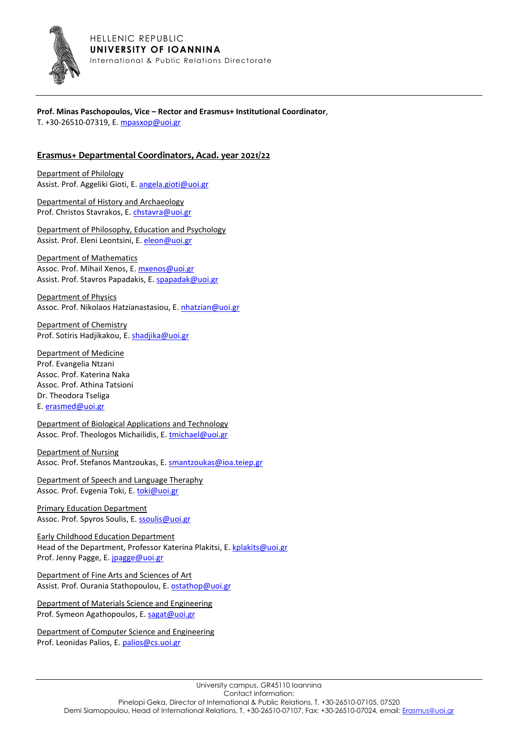

## **Prof. Minas Paschopoulos, Vice – Rector and Erasmus+ Institutional Coordinator**,

T. +30-26510-07319, Ε[. mpasxop@uoi.gr](mailto:mpasxop@uoi.gr)

## **Erasmus+ Departmental Coordinators, Acad. year 2021/22**

Department of Philology Assist. Prof. Aggeliki Gioti, Ε. [angela.gioti@uoi.gr](mailto:angela.gioti@uoi.gr)

Departmental of History and Archaeology Prof. Christos Stavrakos, Ε. [chstavra@uoi.gr](mailto:chstavra@uoi.gr) 

Department of Philosophy, Education and Psychology Assist. Prof. Eleni Leontsini, Ε. [eleon@uoi.gr](mailto:eleon@uoi.gr) 

Department of Mathematics Assoc. Prof. Mihail Xenos, Ε. [mxenos@uoi.gr](mailto:mxenos@uoi.gr) Assist. Prof. Stavros Papadakis, Ε[. spapadak@uoi.gr](mailto:spapadak@uoi.gr)

Department of Physics Assoc. Prof. Nikolaos Hatzianastasiou, Ε. [nhatzian@uoi.gr](mailto:nhatzian@uoi.gr) 

Department of Chemistry Prof. Sotiris Hadjikakou, Ε. [shadjika@uoi.gr](mailto:shadjika@uoi.gr) 

Department of Medicine Prof. Evangelia Ntzani Assoc. Prof. Katerina Naka Assoc. Prof. Athina Tatsioni Dr. Theodora Tseliga Ε. [erasmed@uoi.gr](mailto:erasmed@uoi.gr)

Department of Biological Applications and Technology Assoc. Prof. Theologos Michailidis, Ε. [tmichael@uoi.gr](mailto:tmichael@uoi.gr)

Department of Nursing Assoc. Prof. Stefanos Mantzoukas, E. [smantzoukas@ioa.teiep.gr](mailto:smantzoukas@ioa.teiep.gr)

Department of Speech and Language Theraphy Assoc. Prof. Evgenia Toki, E[. toki@uoi.gr](mailto:toki@uoi.gr)

Primary Education Department Assoc. Prof. Spyros Soulis, Ε. [ssoulis@uoi.gr](mailto:ssoulis@uoi.gr)

Early Childhood Education Department Head of the Department, Professor Katerina Plakitsi, Ε. [kplakits@uoi.gr](mailto:kplakits@uoi.gr) Prof. Jenny Pagge, E[. jpagge@uoi.gr](mailto:jpagge@uoi.gr)

Department of Fine Arts and Sciences of Art Assist. Prof. Ourania Stathopoulou, E[. ostathop@uoi.gr](mailto:ostathop@uoi.gr)

Department of Materials Science and Engineering Prof. Symeon Agathopoulos, Ε. [sagat@uoi.gr](mailto:sagat@uoi.gr) 

Department of Computer Science and Engineering Prof. Leonidas Palios, Ε[. palios@cs.uoi.gr](mailto:palios@cs.uoi.gr)